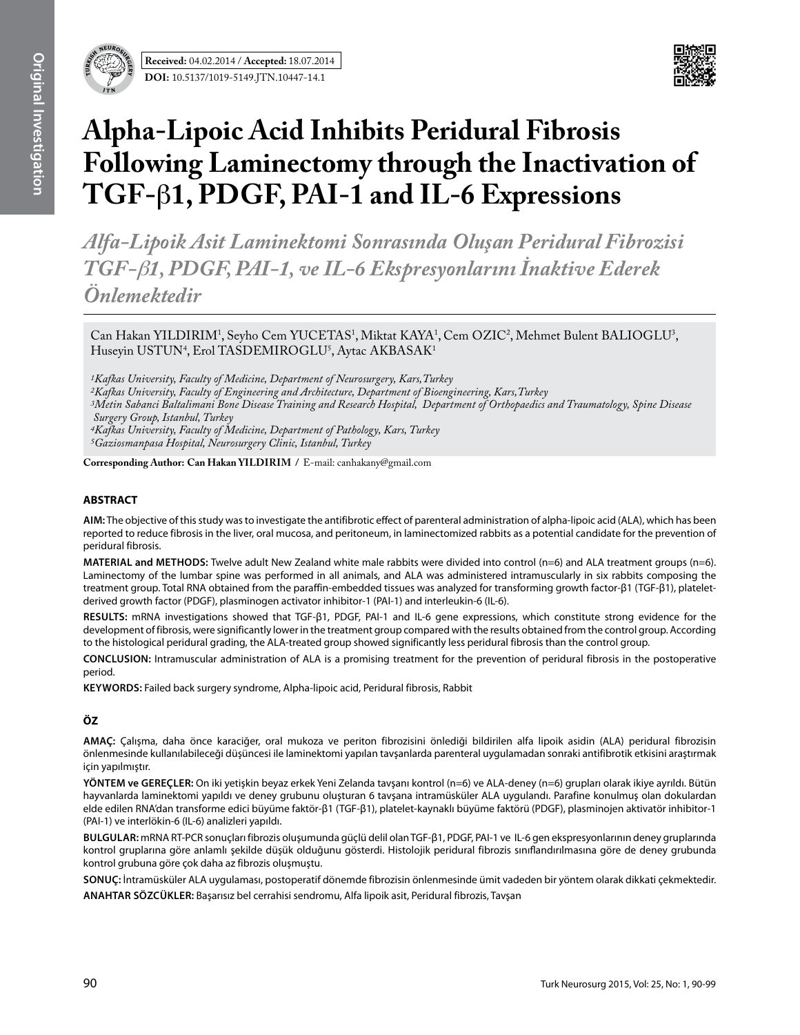

# **Alpha-Lipoic Acid Inhibits Peridural Fibrosis Following Laminectomy through the Inactivation of TGF-**β**1, PDGF, PAI-1 and IL-6 Expressions**

*Alfa-Lipoik Asit Laminektomi Sonrasında Oluşan Peridural Fibrozisi TGF-*β*1, PDGF, PAI-1, ve IL-6 Ekspresyonlarını İnaktive Ederek Önlemektedir*

Can Hakan YILDIRIM<sup>1</sup>, Seyho Cem YUCETAS<sup>1</sup>, Miktat KAYA<sup>1</sup>, Cem OZIC<sup>2</sup>, Mehmet Bulent BALIOGLU<sup>3</sup>, Huseyin USTUN<sup>4</sup>, Erol TASDEMIROGLU<sup>5</sup>, Aytac AKBASAK<sup>1</sup>

*1Kafkas University, Faculty of Medicine, Department of Neurosurgery, Kars,Turkey*

*2Kafkas University, Faculty of Engineering and Architecture, Department of Bioengineering, Kars,Turkey*

*3Metin Sabanci Baltalimani Bone Disease Training and Research Hospital, Department of Orthopaedics and Traumatology, Spine Disease Surgery Group, Istanbul, Turkey*

*4Kafkas University, Faculty of Medicine, Department of Pathology, Kars, Turkey*

*5Gaziosmanpasa Hospital, Neurosurgery Clinic, Istanbul, Turkey* 

**Corresponding Author: Can Hakan YILDIRIM / E-mail: canhakany@gmail.com** 

# **ABSTRACT**

**AIm:** The objective of this study was to investigate the antifibrotic effect of parenteral administration of alpha-lipoic acid (ALA), which has been reported to reduce fibrosis in the liver, oral mucosa, and peritoneum, in laminectomized rabbits as a potential candidate for the prevention of peridural fibrosis.

**MaterIal and Methods:** Twelve adult New Zealand white male rabbits were divided into control (n=6) and ALA treatment groups (n=6). Laminectomy of the lumbar spine was performed in all animals, and ALA was administered intramuscularly in six rabbits composing the treatment group. Total RNA obtained from the paraffin-embedded tissues was analyzed for transforming growth factor-β1 (TGF-β1), plateletderived growth factor (PDGF), plasminogen activator inhibitor-1 (PAI-1) and interleukin-6 (IL-6).

**Results:** mRNA investigations showed that TGF-β1, PDGF, PAI-1 and IL-6 gene expressions, which constitute strong evidence for the development of fibrosis, were significantly lower in the treatment group compared with the results obtained from the control group. According to the histological peridural grading, the ALA-treated group showed significantly less peridural fibrosis than the control group.

**ConclusIon:** Intramuscular administration of ALA is a promising treatment for the prevention of peridural fibrosis in the postoperative period.

**Keywords:** Failed back surgery syndrome, Alpha-lipoic acid, Peridural fibrosis, Rabbit

# **ÖZ**

**AMAÇ:** Çalışma, daha önce karaciğer, oral mukoza ve periton fibrozisini önlediği bildirilen alfa lipoik asidin (ALA) peridural fibrozisin önlenmesinde kullanılabileceği düşüncesi ile laminektomi yapılan tavşanlarda parenteral uygulamadan sonraki antifibrotik etkisini araştırmak için yapılmıştır.

**YÖNTEM ve GEREÇLER:** On iki yetişkin beyaz erkek Yeni Zelanda tavşanı kontrol (n=6) ve ALA-deney (n=6) grupları olarak ikiye ayrıldı. Bütün hayvanlarda laminektomi yapıldı ve deney grubunu oluşturan 6 tavşana intramüsküler ALA uygulandı. Parafine konulmuş olan dokulardan elde edilen RNA'dan transforme edici büyüme faktör-β1 (TGF-β1), platelet-kaynaklı büyüme faktörü (PDGF), plasminojen aktivatör inhibitor-1 (PAI-1) ve interlökin-6 (IL-6) analizleri yapıldı.

**BULGULAR:** mRNA RT-PCR sonuçları fibrozis oluşumunda güçlü delil olan TGF-β1, PDGF, PAI-1 ve IL-6 gen ekspresyonlarının deney gruplarında kontrol gruplarına göre anlamlı şekilde düşük olduğunu gösterdi. Histolojik peridural fibrozis sınıflandırılmasına göre de deney grubunda kontrol grubuna göre çok daha az fibrozis oluşmuştu.

**SONUÇ:** İntramüsküler ALA uygulaması, postoperatif dönemde fibrozisin önlenmesinde ümit vadeden bir yöntem olarak dikkati çekmektedir.

**ANAHTAR SÖZCÜKLER:** Başarısız bel cerrahisi sendromu, Alfa lipoik asit, Peridural fibrozis, Tavşan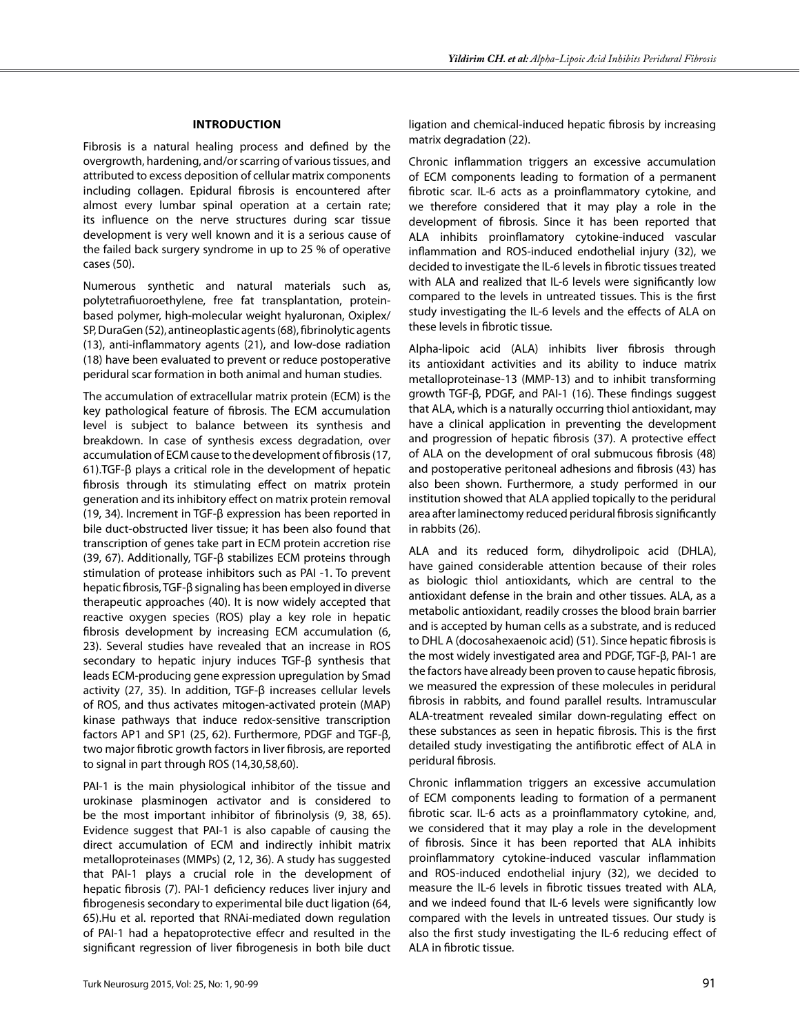# **Introduction**

Fibrosis is a natural healing process and defined by the overgrowth, hardening, and/or scarring of various tissues, and attributed to excess deposition of cellular matrix components including collagen. Epidural fibrosis is encountered after almost every lumbar spinal operation at a certain rate; its influence on the nerve structures during scar tissue development is very well known and it is a serious cause of the failed back surgery syndrome in up to 25 % of operative cases (50).

Numerous synthetic and natural materials such as, polytetrafiuoroethylene, free fat transplantation, proteinbased polymer, high-molecular weight hyaluronan, Oxiplex/ SP, DuraGen (52), antineoplastic agents (68), fibrinolytic agents (13), anti-inflammatory agents (21), and low-dose radiation (18) have been evaluated to prevent or reduce postoperative peridural scar formation in both animal and human studies.

The accumulation of extracellular matrix protein (ECM) is the key pathological feature of fibrosis. The ECM accumulation level is subject to balance between its synthesis and breakdown. In case of synthesis excess degradation, over accumulation of ECM cause to the development of fibrosis (17, 61).TGF-β plays a critical role in the development of hepatic fibrosis through its stimulating effect on matrix protein generation and its inhibitory effect on matrix protein removal (19, 34). Increment in TGF-β expression has been reported in bile duct-obstructed liver tissue; it has been also found that transcription of genes take part in ECM protein accretion rise (39, 67). Additionally, TGF-β stabilizes ECM proteins through stimulation of protease inhibitors such as PAI -1. To prevent hepatic fibrosis, TGF-β signaling has been employed in diverse therapeutic approaches (40). It is now widely accepted that reactive oxygen species (ROS) play a key role in hepatic fibrosis development by increasing ECM accumulation (6, 23). Several studies have revealed that an increase in ROS secondary to hepatic injury induces TGF-β synthesis that leads ECM-producing gene expression upregulation by Smad activity (27, 35). In addition, TGF-β increases cellular levels of ROS, and thus activates mitogen-activated protein (MAP) kinase pathways that induce redox-sensitive transcription factors AP1 and SP1 (25, 62). Furthermore, PDGF and TGF-β, two major fibrotic growth factors in liver fibrosis, are reported to signal in part through ROS (14,30,58,60).

PAI-1 is the main physiological inhibitor of the tissue and urokinase plasminogen activator and is considered to be the most important inhibitor of fibrinolysis (9, 38, 65). Evidence suggest that PAI-1 is also capable of causing the direct accumulation of ECM and indirectly inhibit matrix metalloproteinases (MMPs) (2, 12, 36). A study has suggested that PAI-1 plays a crucial role in the development of hepatic fibrosis (7). PAI-1 deficiency reduces liver injury and fibrogenesis secondary to experimental bile duct ligation (64, 65).Hu et al. reported that RNAi-mediated down regulation of PAI-1 had a hepatoprotective effecr and resulted in the significant regression of liver fibrogenesis in both bile duct ligation and chemical-induced hepatic fibrosis by increasing matrix degradation (22).

Chronic inflammation triggers an excessive accumulation of ECM components leading to formation of a permanent fibrotic scar. IL-6 acts as a proinflammatory cytokine, and we therefore considered that it may play a role in the development of fibrosis. Since it has been reported that ALA inhibits proinflamatory cytokine-induced vascular inflammation and ROS-induced endothelial injury (32), we decided to investigate the IL-6 levels in fibrotic tissues treated with ALA and realized that IL-6 levels were significantly low compared to the levels in untreated tissues. This is the first study investigating the IL-6 levels and the effects of ALA on these levels in fibrotic tissue.

Alpha-lipoic acid (ALA) inhibits liver fibrosis through its antioxidant activities and its ability to induce matrix metalloproteinase-13 (MMP-13) and to inhibit transforming growth TGF-β, PDGF, and PAI-1 (16). These findings suggest that ALA, which is a naturally occurring thiol antioxidant, may have a clinical application in preventing the development and progression of hepatic fibrosis (37). A protective effect of ALA on the development of oral submucous fibrosis (48) and postoperative peritoneal adhesions and fibrosis (43) has also been shown. Furthermore, a study performed in our institution showed that ALA applied topically to the peridural area after laminectomy reduced peridural fibrosis significantly in rabbits (26).

ALA and its reduced form, dihydrolipoic acid (DHLA), have gained considerable attention because of their roles as biologic thiol antioxidants, which are central to the antioxidant defense in the brain and other tissues. ALA, as a metabolic antioxidant, readily crosses the blood brain barrier and is accepted by human cells as a substrate, and is reduced to DHL A (docosahexaenoic acid) (51). Since hepatic fibrosis is the most widely investigated area and PDGF, TGF-β, PAI-1 are the factors have already been proven to cause hepatic fibrosis, we measured the expression of these molecules in peridural fibrosis in rabbits, and found parallel results. Intramuscular ALA-treatment revealed similar down-regulating effect on these substances as seen in hepatic fibrosis. This is the first detailed study investigating the antifibrotic effect of ALA in peridural fibrosis.

Chronic inflammation triggers an excessive accumulation of ECM components leading to formation of a permanent fibrotic scar. IL-6 acts as a proinflammatory cytokine, and, we considered that it may play a role in the development of fibrosis. Since it has been reported that ALA inhibits proinflammatory cytokine-induced vascular inflammation and ROS-induced endothelial injury (32), we decided to measure the IL-6 levels in fibrotic tissues treated with ALA, and we indeed found that IL-6 levels were significantly low compared with the levels in untreated tissues. Our study is also the first study investigating the IL-6 reducing effect of ALA in fibrotic tissue.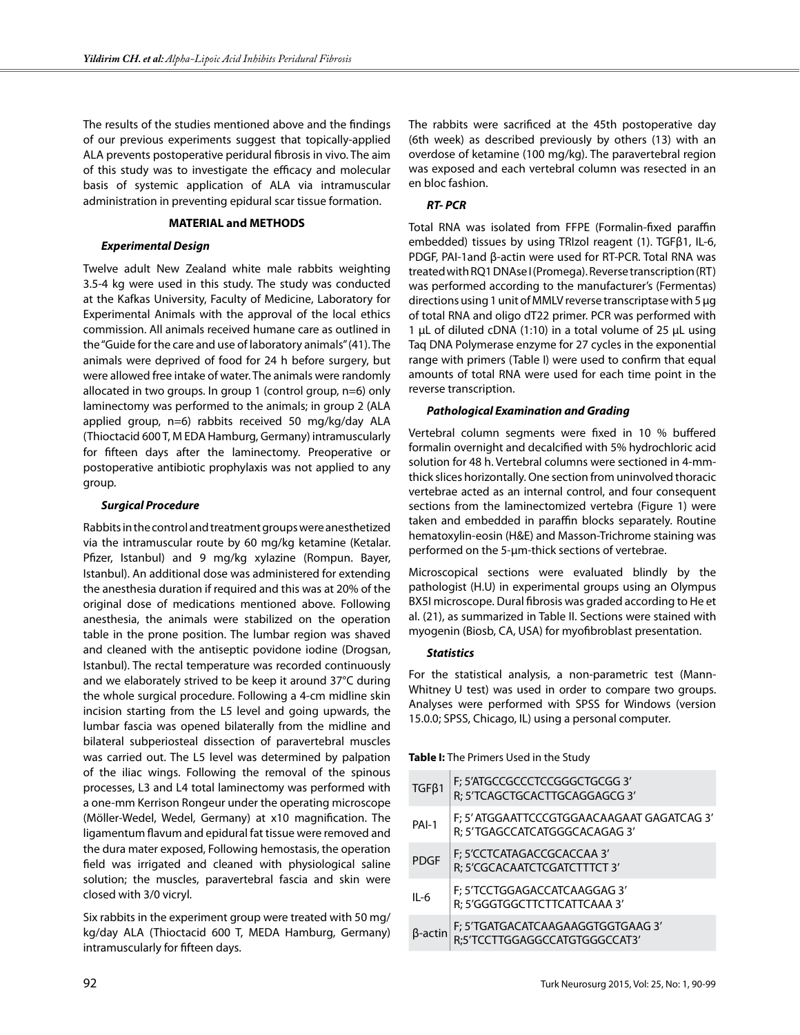The results of the studies mentioned above and the findings of our previous experiments suggest that topically-applied ALA prevents postoperative peridural fibrosis in vivo. The aim of this study was to investigate the efficacy and molecular basis of systemic application of ALA via intramuscular administration in preventing epidural scar tissue formation.

# **MATERIAL and METHODS**

#### *Experimental Design*

Twelve adult New Zealand white male rabbits weighting 3.5-4 kg were used in this study. The study was conducted at the Kafkas University, Faculty of Medicine, Laboratory for Experimental Animals with the approval of the local ethics commission. All animals received humane care as outlined in the "Guide for the care and use of laboratory animals" (41). The animals were deprived of food for 24 h before surgery, but were allowed free intake of water. The animals were randomly allocated in two groups. In group 1 (control group, n=6) only laminectomy was performed to the animals; in group 2 (ALA applied group, n=6) rabbits received 50 mg/kg/day ALA (Thioctacid 600 T, M EDA Hamburg, Germany) intramuscularly for fifteen days after the laminectomy. Preoperative or postoperative antibiotic prophylaxis was not applied to any group.

#### *Surgical Procedure*

Rabbits in the control and treatment groups were anesthetized via the intramuscular route by 60 mg/kg ketamine (Ketalar. Pfizer, Istanbul) and 9 mg/kg xylazine (Rompun. Bayer, Istanbul). An additional dose was administered for extending the anesthesia duration if required and this was at 20% of the original dose of medications mentioned above. Following anesthesia, the animals were stabilized on the operation table in the prone position. The lumbar region was shaved and cleaned with the antiseptic povidone iodine (Drogsan, Istanbul). The rectal temperature was recorded continuously and we elaborately strived to be keep it around 37°C during the whole surgical procedure. Following a 4-cm midline skin incision starting from the L5 level and going upwards, the lumbar fascia was opened bilaterally from the midline and bilateral subperiosteal dissection of paravertebral muscles was carried out. The L5 level was determined by palpation of the iliac wings. Following the removal of the spinous processes, L3 and L4 total laminectomy was performed with a one-mm Kerrison Rongeur under the operating microscope (Möller-Wedel, Wedel, Germany) at x10 magnification. The ligamentum flavum and epidural fat tissue were removed and the dura mater exposed, Following hemostasis, the operation field was irrigated and cleaned with physiological saline solution; the muscles, paravertebral fascia and skin were closed with 3/0 vicryl.

Six rabbits in the experiment group were treated with 50 mg/ kg/day ALA (Thioctacid 600 T, MEDA Hamburg, Germany) intramuscularly for fifteen days.

The rabbits were sacrificed at the 45th postoperative day (6th week) as described previously by others (13) with an overdose of ketamine (100 mg/kg). The paravertebral region was exposed and each vertebral column was resected in an en bloc fashion.

# *RT- PCR*

Total RNA was isolated from FFPE (Formalin-fixed paraffin embedded) tissues by using TRIzol reagent (1). TGFβ1, IL-6, PDGF, PAI-1and β-actin were used for RT-PCR. Total RNA was treated with RQ1 DNAse I (Promega). Reverse transcription (RT) was performed according to the manufacturer's (Fermentas) directions using 1 unit of MMLV reverse transcriptase with 5 μg of total RNA and oligo dT22 primer. PCR was performed with 1 μL of diluted cDNA (1:10) in a total volume of 25 μL using Taq DNA Polymerase enzyme for 27 cycles in the exponential range with primers (Table I) were used to confirm that equal amounts of total RNA were used for each time point in the reverse transcription.

# *Pathological Examination and Grading*

Vertebral column segments were fixed in 10 % buffered formalin overnight and decalcified with 5% hydrochloric acid solution for 48 h. Vertebral columns were sectioned in 4-mmthick slices horizontally. One section from uninvolved thoracic vertebrae acted as an internal control, and four consequent sections from the laminectomized vertebra (Figure 1) were taken and embedded in paraffin blocks separately. Routine hematoxylin-eosin (H&E) and Masson-Trichrome staining was performed on the 5-µm-thick sections of vertebrae.

Microscopical sections were evaluated blindly by the pathologist (H.U) in experimental groups using an Olympus BX5I microscope. Dural fibrosis was graded according to He et al. (21), as summarized in Table II. Sections were stained with myogenin (Biosb, CA, USA) for myofibroblast presentation.

#### *Statistics*

For the statistical analysis, a non-parametric test (Mann-Whitney U test) was used in order to compare two groups. Analyses were performed with SPSS for Windows (version 15.0.0; SPSS, Chicago, IL) using a personal computer.

**Table I:** The Primers Used in the Study

| $TGF\beta1$ | F; 5'ATGCCGCCCTCCGGGCTGCGG 3'<br>R; 5'TCAGCTGCACTTGCAGGAGCG 3'              |
|-------------|-----------------------------------------------------------------------------|
| PAI-1       | F; 5' ATGGAATTCCCGTGGAACAAGAAT GAGATCAG 3'<br>R: 5'TGAGCCATCATGGGCACAGAG 3' |
| <b>PDGF</b> | F; 5'CCTCATAGACCGCACCAA 3'<br>R; 5'CGCACAATCTCGATCTTTCT 3'                  |
| $II - 6$    | F; 5'TCCTGGAGACCATCAAGGAG 3'<br>R; 5'GGGTGGCTTCTTCATTCAAA 3'                |
| β-actin     | F; 5'TGATGACATCAAGAAGGTGGTGAAG 3'<br>R;5'TCCTTGGAGGCCATGTGGGCCAT3'          |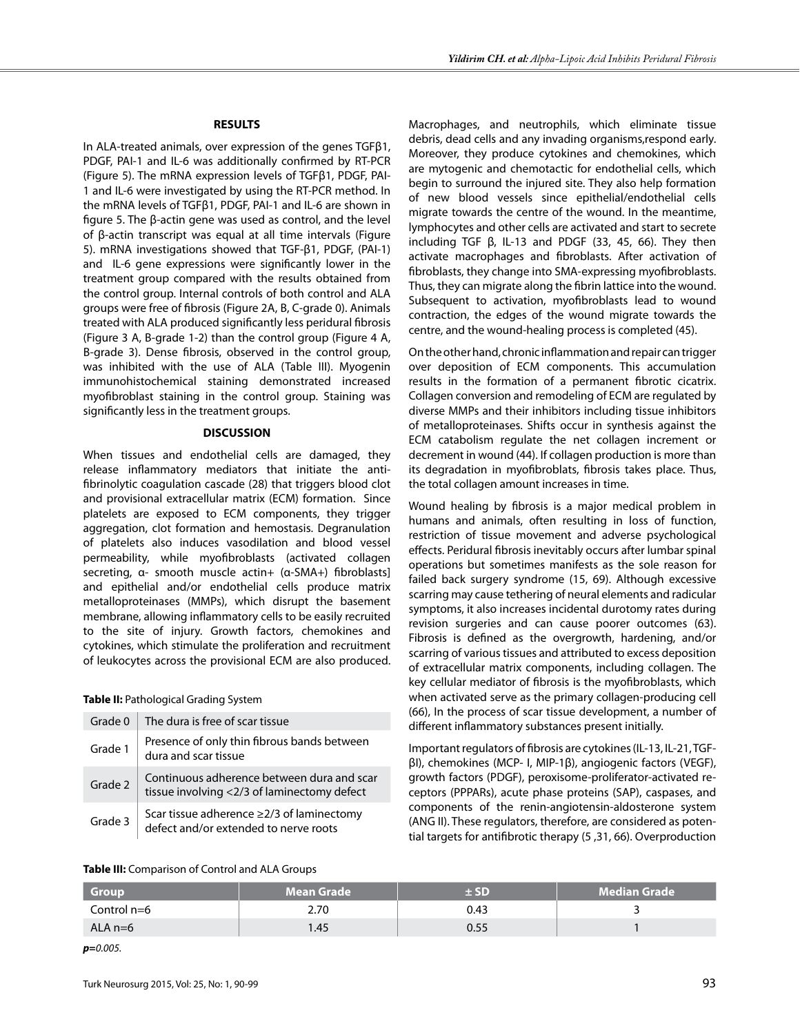#### **RESULTS**

In ALA-treated animals, over expression of the genes TGFβ1, PDGF, PAI-1 and IL-6 was additionally confirmed by RT-PCR (Figure 5). The mRNA expression levels of TGFβ1, PDGF, PAI-1 and IL-6 were investigated by using the RT-PCR method. In the mRNA levels of TGFβ1, PDGF, PAI-1 and IL-6 are shown in figure 5. The β-actin gene was used as control, and the level of β-actin transcript was equal at all time intervals (Figure 5). mRNA investigations showed that TGF-β1, PDGF, (PAI-1) and IL-6 gene expressions were significantly lower in the treatment group compared with the results obtained from the control group. Internal controls of both control and ALA groups were free of fibrosis (Figure 2a, b, C-grade 0). Animals treated with ALA produced significantly less peridural fibrosis (Figure 3 A, B-grade 1-2) than the control group (Figure 4 a, b-grade 3). Dense fibrosis, observed in the control group, was inhibited with the use of ALA (Table III). Myogenin immunohistochemical staining demonstrated increased myofibroblast staining in the control group. Staining was significantly less in the treatment groups.

#### **DISCUSSION**

When tissues and endothelial cells are damaged, they release inflammatory mediators that initiate the antifibrinolytic coagulation cascade (28) that triggers blood clot and provisional extracellular matrix (ECM) formation. Since platelets are exposed to ECM components, they trigger aggregation, clot formation and hemostasis. Degranulation of platelets also induces vasodilation and blood vessel permeability, while myofibroblasts (activated collagen secreting, α- smooth muscle actin+ (α-SMA+) fibroblasts] and epithelial and/or endothelial cells produce matrix metalloproteinases (MMPs), which disrupt the basement membrane, allowing inflammatory cells to be easily recruited to the site of injury. Growth factors, chemokines and cytokines, which stimulate the proliferation and recruitment of leukocytes across the provisional ECM are also produced.

#### **Table II:** Pathological Grading System

| Grade 0 | The dura is free of scar tissue                                                           |
|---------|-------------------------------------------------------------------------------------------|
| Grade 1 | Presence of only thin fibrous bands between<br>dura and scar tissue                       |
| Grade 2 | Continuous adherence between dura and scar<br>tissue involving <2/3 of laminectomy defect |
| Grade 3 | Scar tissue adherence $\geq$ 2/3 of laminectomy<br>defect and/or extended to nerve roots  |

Macrophages, and neutrophils, which eliminate tissue debris, dead cells and any invading organisms,respond early. Moreover, they produce cytokines and chemokines, which are mytogenic and chemotactic for endothelial cells, which begin to surround the injured site. They also help formation of new blood vessels since epithelial/endothelial cells migrate towards the centre of the wound. In the meantime, lymphocytes and other cells are activated and start to secrete including TGF  $β$ , IL-13 and PDGF (33, 45, 66). They then activate macrophages and fibroblasts. After activation of fibroblasts, they change into SMA-expressing myofibroblasts. Thus, they can migrate along the fibrin lattice into the wound. Subsequent to activation, myofibroblasts lead to wound contraction, the edges of the wound migrate towards the centre, and the wound-healing process is completed (45).

On the other hand, chronic inflammation and repair can trigger over deposition of ECM components. This accumulation results in the formation of a permanent fibrotic cicatrix. Collagen conversion and remodeling of ECM are regulated by diverse MMPs and their inhibitors including tissue inhibitors of metalloproteinases. Shifts occur in synthesis against the ECM catabolism regulate the net collagen increment or decrement in wound (44). If collagen production is more than its degradation in myofibroblats, fibrosis takes place. Thus, the total collagen amount increases in time.

Wound healing by fibrosis is a major medical problem in humans and animals, often resulting in loss of function, restriction of tissue movement and adverse psychological effects. Peridural fibrosis inevitably occurs after lumbar spinal operations but sometimes manifests as the sole reason for failed back surgery syndrome (15, 69). Although excessive scarring may cause tethering of neural elements and radicular symptoms, it also increases incidental durotomy rates during revision surgeries and can cause poorer outcomes (63). Fibrosis is defined as the overgrowth, hardening, and/or scarring of various tissues and attributed to excess deposition of extracellular matrix components, including collagen. The key cellular mediator of fibrosis is the myofibroblasts, which when activated serve as the primary collagen-producing cell (66), In the process of scar tissue development, a number of different inflammatory substances present initially.

Important regulators of fibrosis are cytokines (IL-13, IL-21, TGFβI), chemokines (MCP- I, MIP-1β), angiogenic factors (VEGF), growth factors (PDGF), peroxisome-proliferator-activated receptors (PPPARs), acute phase proteins (SAP), caspases, and components of the renin-angiotensin-aldosterone system (ANG II). These regulators, therefore, are considered as potential targets for antifibrotic therapy (5 ,31, 66). Overproduction

#### **Table III:** Comparison of Control and ALA Groups

| <b>Group</b> | <b>Mean Grade</b> | + SD | <b>Median Grade</b> |
|--------------|-------------------|------|---------------------|
| Control n=6  | 2.70              | 0.43 |                     |
| ALA $n=6$    | l.45              | 0.55 |                     |

*p=0.005.*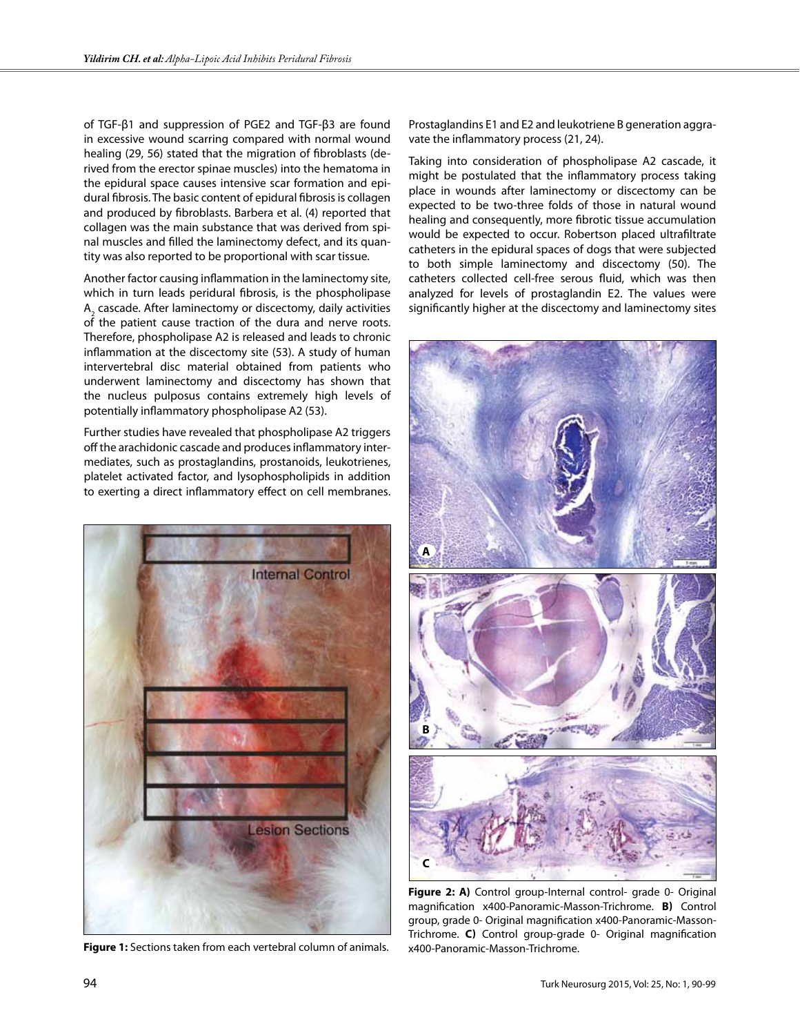of TGF-β1 and suppression of PGE2 and TGF-β3 are found in excessive wound scarring compared with normal wound healing (29, 56) stated that the migration of fibroblasts (derived from the erector spinae muscles) into the hematoma in the epidural space causes intensive scar formation and epidural fibrosis. The basic content of epidural fibrosis is collagen and produced by fibroblasts. Barbera et al. (4) reported that collagen was the main substance that was derived from spinal muscles and filled the laminectomy defect, and its quantity was also reported to be proportional with scar tissue.

Another factor causing inflammation in the laminectomy site, which in turn leads peridural fibrosis, is the phospholipase  $\mathsf{A}^{}_{\scriptscriptstyle{2}}$  cascade. After laminectomy or discectomy, daily activities of the patient cause traction of the dura and nerve roots. Therefore, phospholipase A2 is released and leads to chronic inflammation at the discectomy site (53). A study of human intervertebral disc material obtained from patients who underwent laminectomy and discectomy has shown that the nucleus pulposus contains extremely high levels of potentially inflammatory phospholipase A2 (53).

Further studies have revealed that phospholipase A2 triggers off the arachidonic cascade and produces inflammatory intermediates, such as prostaglandins, prostanoids, leukotrienes, platelet activated factor, and lysophospholipids in addition to exerting a direct inflammatory effect on cell membranes.



**Figure 1:** Sections taken from each vertebral column of animals.

Prostaglandins E1 and E2 and leukotriene B generation aggravate the inflammatory process (21, 24).

Taking into consideration of phospholipase A2 cascade, it might be postulated that the inflammatory process taking place in wounds after laminectomy or discectomy can be expected to be two-three folds of those in natural wound healing and consequently, more fibrotic tissue accumulation would be expected to occur. Robertson placed ultrafiltrate catheters in the epidural spaces of dogs that were subjected to both simple laminectomy and discectomy (50). The catheters collected cell-free serous fluid, which was then analyzed for levels of prostaglandin E2. The values were significantly higher at the discectomy and laminectomy sites



**Figure 2: A)** Control group-Internal control- grade 0- Original magnification x400-Panoramic-Masson-Trichrome. **B)** Control group, grade 0- Original magnification x400-Panoramic-Masson-Trichrome. **C)** Control group-grade 0- Original magnification x400-Panoramic-Masson-Trichrome.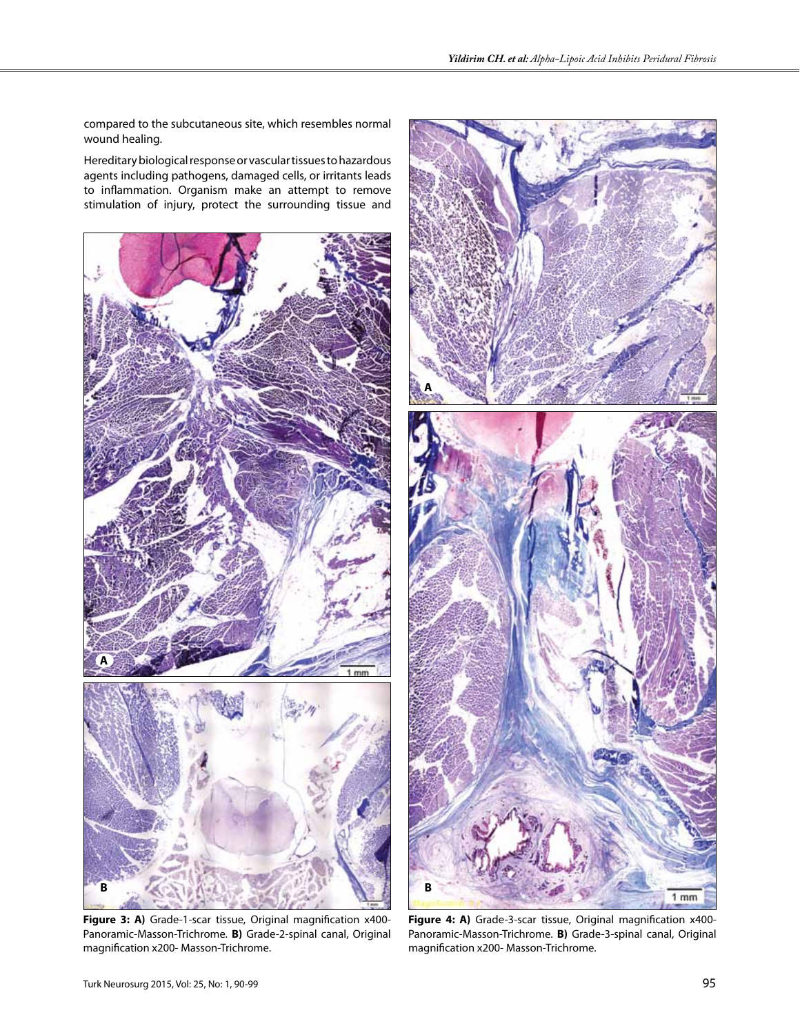compared to the subcutaneous site, which resembles normal wound healing.

Hereditary biological response or vascular tissues to hazardous agents including pathogens, damaged cells, or irritants leads to inflammation. Organism make an attempt to remove stimulation of injury, protect the surrounding tissue and



**Figure 3: A)** Grade-1-scar tissue, Original magnification x400- Panoramic-Masson-Trichrome. **B)** Grade-2-spinal canal, Original magnification x200- Masson-Trichrome.



**Figure 4: A)** Grade-3-scar tissue, Original magnification x400- Panoramic-Masson-Trichrome. **B)** Grade-3-spinal canal, Original magnification x200- Masson-Trichrome.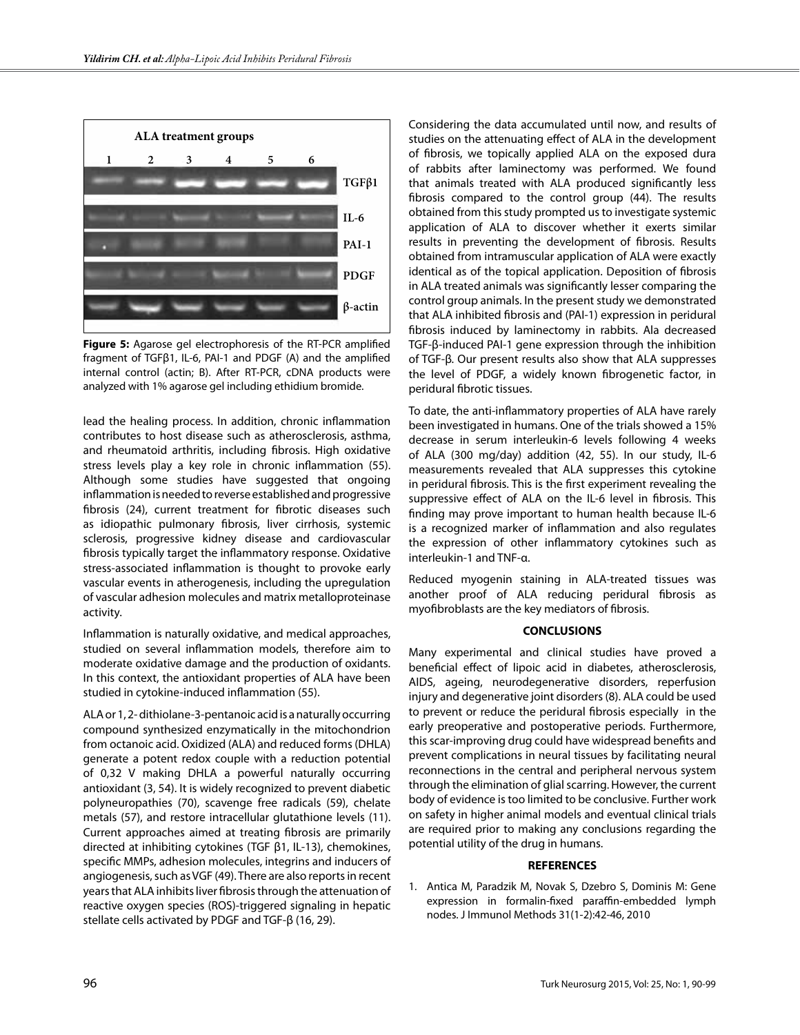

**Figure 5:** Agarose gel electrophoresis of the RT-PCR amplified fragment of TGFβ1, IL-6, PAI-1 and PDGF (A) and the amplified internal control (actin; B). After RT-PCR, cDNA products were analyzed with 1% agarose gel including ethidium bromide.

lead the healing process. In addition, chronic inflammation contributes to host disease such as atherosclerosis, asthma, and rheumatoid arthritis, including fibrosis. High oxidative stress levels play a key role in chronic inflammation (55). Although some studies have suggested that ongoing inflammation is needed to reverse established and progressive fibrosis (24), current treatment for fibrotic diseases such as idiopathic pulmonary fibrosis, liver cirrhosis, systemic sclerosis, progressive kidney disease and cardiovascular fibrosis typically target the inflammatory response. Oxidative stress-associated inflammation is thought to provoke early vascular events in atherogenesis, including the upregulation of vascular adhesion molecules and matrix metalloproteinase activity.

Inflammation is naturally oxidative, and medical approaches, studied on several inflammation models, therefore aim to moderate oxidative damage and the production of oxidants. In this context, the antioxidant properties of ALA have been studied in cytokine-induced inflammation (55).

ALA or 1, 2- dithiolane-3-pentanoic acid is a naturally occurring compound synthesized enzymatically in the mitochondrion from octanoic acid. Oxidized (ALA) and reduced forms (DHLA) generate a potent redox couple with a reduction potential of 0,32 V making DHLA a powerful naturally occurring antioxidant (3, 54). It is widely recognized to prevent diabetic polyneuropathies (70), scavenge free radicals (59), chelate metals (57), and restore intracellular glutathione levels (11). Current approaches aimed at treating fibrosis are primarily directed at inhibiting cytokines (TGF β1, IL-13), chemokines, specific MMPs, adhesion molecules, integrins and inducers of angiogenesis, such as VGF (49). There are also reports in recent years that ALA inhibits liver fibrosis through the attenuation of reactive oxygen species (ROS)-triggered signaling in hepatic stellate cells activated by PDGF and TGF-β (16, 29).

Considering the data accumulated until now, and results of studies on the attenuating effect of ALA in the development of fibrosis, we topically applied ALA on the exposed dura of rabbits after laminectomy was performed. We found that animals treated with ALA produced significantly less fibrosis compared to the control group (44). The results obtained from this study prompted us to investigate systemic application of ALA to discover whether it exerts similar results in preventing the development of fibrosis. Results obtained from intramuscular application of ALA were exactly identical as of the topical application. Deposition of fibrosis in ALA treated animals was significantly lesser comparing the control group animals. In the present study we demonstrated that ALA inhibited fibrosis and (PAI-1) expression in peridural fibrosis induced by laminectomy in rabbits. Ala decreased TGF-β-induced PAI-1 gene expression through the inhibition of TGF-β. Our present results also show that ALA suppresses the level of PDGF, a widely known fibrogenetic factor, in peridural fibrotic tissues.

To date, the anti-inflammatory properties of ALA have rarely been investigated in humans. One of the trials showed a 15% decrease in serum interleukin-6 levels following 4 weeks of ALA (300 mg/day) addition (42, 55). In our study, IL-6 measurements revealed that ALA suppresses this cytokine in peridural fibrosis. This is the first experiment revealing the suppressive effect of ALA on the IL-6 level in fibrosis. This finding may prove important to human health because IL-6 is a recognized marker of inflammation and also regulates the expression of other inflammatory cytokines such as interleukin-1 and TNF-α.

Reduced myogenin staining in ALA-treated tissues was another proof of ALA reducing peridural fibrosis as myofibroblasts are the key mediators of fibrosis.

# **CONCLUSIONS**

Many experimental and clinical studies have proved a beneficial effect of lipoic acid in diabetes, atherosclerosis, AIDS, ageing, neurodegenerative disorders, reperfusion injury and degenerative joint disorders (8). ALA could be used to prevent or reduce the peridural fibrosis especially in the early preoperative and postoperative periods. Furthermore, this scar-improving drug could have widespread benefits and prevent complications in neural tissues by facilitating neural reconnections in the central and peripheral nervous system through the elimination of glial scarring. However, the current body of evidence is too limited to be conclusive. Further work on safety in higher animal models and eventual clinical trials are required prior to making any conclusions regarding the potential utility of the drug in humans.

#### **REFERENCES**

1. Antica M, Paradzik M, Novak S, Dzebro S, Dominis M: Gene expression in formalin-fixed paraffin-embedded lymph nodes. J Immunol Methods 31(1-2):42-46, 2010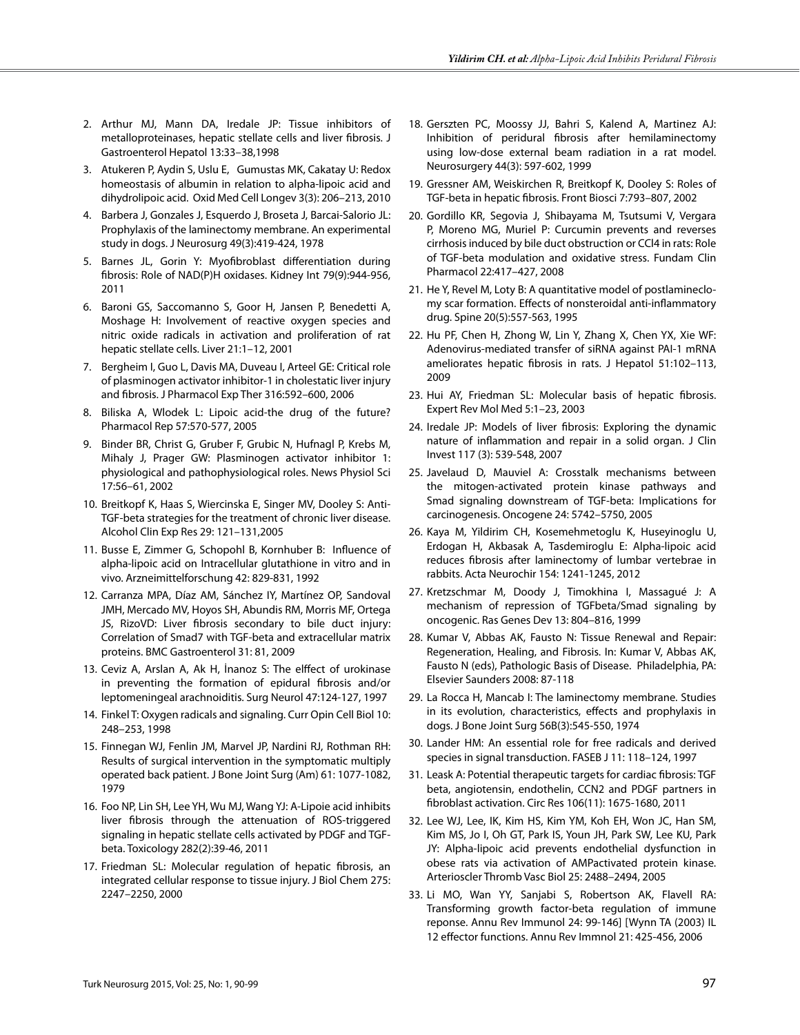- 2. Arthur MJ, Mann DA, Iredale JP: Tissue inhibitors of metalloproteinases, hepatic stellate cells and liver fibrosis. J Gastroenterol Hepatol 13:33–38,1998
- 3. Atukeren P, Aydin S, Uslu E, Gumustas MK, Cakatay U: Redox homeostasis of albumin in relation to alpha-lipoic acid and dihydrolipoic acid. Oxid Med Cell Longev 3(3): 206–213, 2010
- 4. Barbera J, Gonzales J, Esquerdo J, Broseta J, Barcai-Salorio JL: Prophylaxis of the laminectomy membrane. An experimental study in dogs. J Neurosurg 49(3):419-424, 1978
- 5. Barnes JL, Gorin Y: Myofibroblast differentiation during fibrosis: Role of NAD(P)H oxidases. Kidney Int 79(9):944-956, 2011
- 6. Baroni GS, Saccomanno S, Goor H, Jansen P, Benedetti A, Moshage H: Involvement of reactive oxygen species and nitric oxide radicals in activation and proliferation of rat hepatic stellate cells. Liver 21:1–12, 2001
- 7. Bergheim I, Guo L, Davis MA, Duveau I, Arteel GE: Critical role of plasminogen activator inhibitor-1 in cholestatic liver injury and fibrosis. J Pharmacol Exp Ther 316:592–600, 2006
- 8. Biliska A, Wlodek L: Lipoic acid-the drug of the future? Pharmacol Rep 57:570-577, 2005
- 9. Binder BR, Christ G, Gruber F, Grubic N, Hufnagl P, Krebs M, Mihaly J, Prager GW: Plasminogen activator inhibitor 1: physiological and pathophysiological roles. News Physiol Sci 17:56–61, 2002
- 10. Breitkopf K, Haas S, Wiercinska E, Singer MV, Dooley S: Anti-TGF-beta strategies for the treatment of chronic liver disease. Alcohol Clin Exp Res 29: 121–131,2005
- 11. Busse E, Zimmer G, Schopohl B, Kornhuber B: Influence of alpha-lipoic acid on Intracellular glutathione in vitro and in vivo. Arzneimittelforschung 42: 829-831, 1992
- 12. Carranza MPA, Díaz AM, Sánchez IY, Martínez OP, Sandoval JMH, Mercado MV, Hoyos SH, Abundis RM, Morris MF, Ortega JS, RizoVD: Liver fibrosis secondary to bile duct injury: Correlation of Smad7 with TGF-beta and extracellular matrix proteins. BMC Gastroenterol 31: 81, 2009
- 13. Ceviz A, Arslan A, Ak H, İnanoz S: The elffect of urokinase in preventing the formation of epidural fibrosis and/or leptomeningeal arachnoiditis. Surg Neurol 47:124-127, 1997
- 14. Finkel T: Oxygen radicals and signaling. Curr Opin Cell Biol 10: 248–253, 1998
- 15. Finnegan WJ, Fenlin JM, Marvel JP, Nardini RJ, Rothman RH: Results of surgical intervention in the symptomatic multiply operated back patient. J Bone Joint Surg (Am) 61: 1077-1082, 1979
- 16. Foo NP, Lin SH, Lee YH, Wu MJ, Wang YJ: A-Lipoie acid inhibits liver fibrosis through the attenuation of ROS-triggered signaling in hepatic stellate cells activated by PDGF and TGFbeta. Toxicology 282(2):39-46, 2011
- 17. Friedman SL: Molecular regulation of hepatic fibrosis, an integrated cellular response to tissue injury. J Biol Chem 275: 2247–2250, 2000
- 18. Gerszten PC, Moossy JJ, Bahri S, Kalend A, Martinez AJ: Inhibition of peridural fibrosis after hemilaminectomy using low-dose external beam radiation in a rat model. Neurosurgery 44(3): 597-602, 1999
- 19. Gressner AM, Weiskirchen R, Breitkopf K, Dooley S: Roles of TGF-beta in hepatic fibrosis. Front Biosci 7:793–807, 2002
- 20. Gordillo KR, Segovia J, Shibayama M, Tsutsumi V, Vergara P, Moreno MG, Muriel P: Curcumin prevents and reverses cirrhosis induced by bile duct obstruction or CCl4 in rats: Role of TGF-beta modulation and oxidative stress. Fundam Clin Pharmacol 22:417–427, 2008
- 21. He Y, Revel M, Loty B: A quantitative model of postlamineclomy scar formation. Effects of nonsteroidal anti-inflammatory drug. Spine 20(5):557-563, 1995
- 22. Hu PF, Chen H, Zhong W, Lin Y, Zhang X, Chen YX, Xie WF: Adenovirus-mediated transfer of siRNA against PAI-1 mRNA ameliorates hepatic fibrosis in rats. J Hepatol 51:102–113, 2009
- 23. Hui AY, Friedman SL: Molecular basis of hepatic fibrosis. Expert Rev Mol Med 5:1–23, 2003
- 24. Iredale JP: Models of liver fibrosis: Exploring the dynamic nature of inflammation and repair in a solid organ. J Clin Invest 117 (3): 539-548, 2007
- 25. Javelaud D, Mauviel A: Crosstalk mechanisms between the mitogen-activated protein kinase pathways and Smad signaling downstream of TGF-beta: Implications for carcinogenesis. Oncogene 24: 5742–5750, 2005
- 26. Kaya M, Yildirim CH, Kosemehmetoglu K, Huseyinoglu U, Erdogan H, Akbasak A, Tasdemiroglu E: Alpha-lipoic acid reduces fibrosis after laminectomy of lumbar vertebrae in rabbits. Acta Neurochir 154: 1241-1245, 2012
- 27. Kretzschmar M, Doody J, Timokhina I, Massagué J: A mechanism of repression of TGFbeta/Smad signaling by oncogenic. Ras Genes Dev 13: 804–816, 1999
- 28. Kumar V, Abbas AK, Fausto N: Tissue Renewal and Repair: Regeneration, Healing, and Fibrosis. In: Kumar V, Abbas AK, Fausto N (eds), Pathologic Basis of Disease. Philadelphia, PA: Elsevier Saunders 2008: 87-118
- 29. La Rocca H, Mancab I: The laminectomy membrane. Studies in its evolution, characteristics, effects and prophylaxis in dogs. J Bone Joint Surg 56B(3):545-550, 1974
- 30. Lander HM: An essential role for free radicals and derived species in signal transduction. FASEB J 11: 118–124, 1997
- 31. Leask A: Potential therapeutic targets for cardiac fibrosis: TGF beta, angiotensin, endothelin, CCN2 and PDGF partners in fibroblast activation. Circ Res 106(11): 1675-1680, 2011
- 32. Lee WJ, Lee, IK, Kim HS, Kim YM, Koh EH, Won JC, Han SM, Kim MS, Jo I, Oh GT, Park IS, Youn JH, Park SW, Lee KU, Park JY: Alpha-lipoic acid prevents endothelial dysfunction in obese rats via activation of AMPactivated protein kinase. Arterioscler Thromb Vasc Biol 25: 2488–2494, 2005
- 33. Li MO, Wan YY, Sanjabi S, Robertson AK, Flavell RA: Transforming growth factor-beta regulation of immune reponse. Annu Rev Immunol 24: 99-146] [Wynn TA (2003) IL 12 effector functions. Annu Rev Immnol 21: 425-456, 2006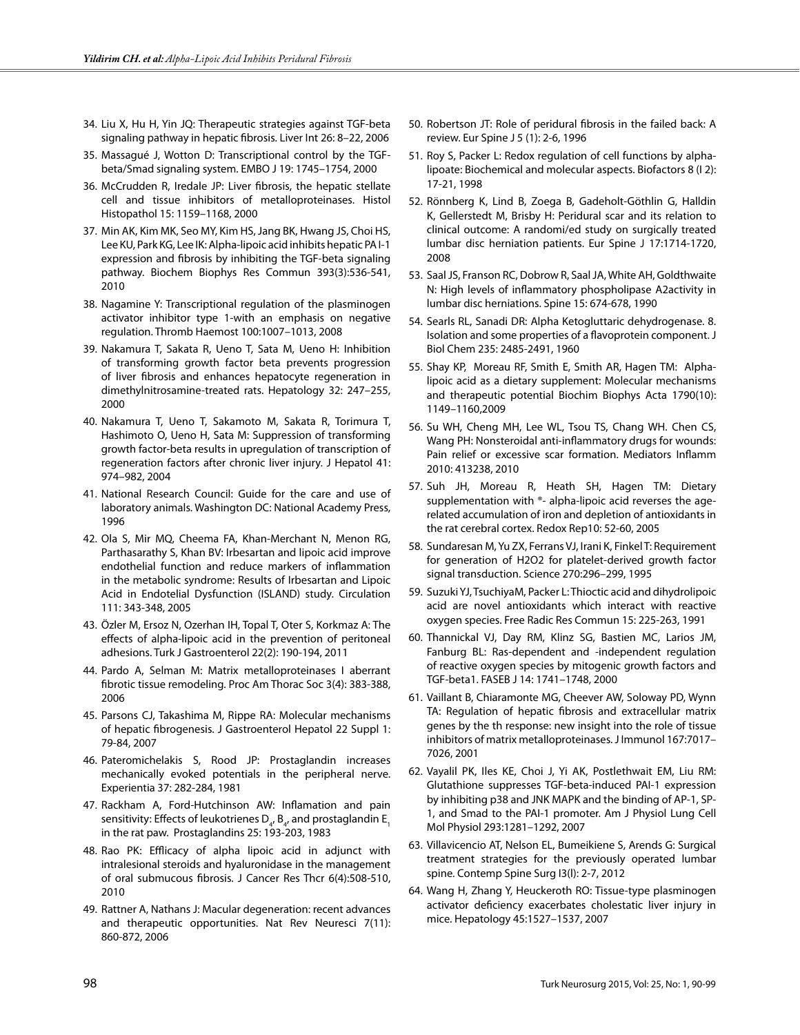- 34. Liu X, Hu H, Yin JQ: Therapeutic strategies against TGF-beta signaling pathway in hepatic fibrosis. Liver Int 26: 8–22, 2006
- 35. Massagué J, Wotton D: Transcriptional control by the TGFbeta/Smad signaling system. EMBO J 19: 1745–1754, 2000
- 36. McCrudden R, Iredale JP: Liver fibrosis, the hepatic stellate cell and tissue inhibitors of metalloproteinases. Histol Histopathol 15: 1159–1168, 2000
- 37. Min AK, Kim MK, Seo MY, Kim HS, Jang BK, Hwang JS, Choi HS, Lee KU, Park KG, Lee IK: Alpha-lipoic acid inhibits hepatic PA I-1 expression and fibrosis by inhibiting the TGF-beta signaling pathway. Biochem Biophys Res Commun 393(3):536-541, 2010
- 38. Nagamine Y: Transcriptional regulation of the plasminogen activator inhibitor type 1-with an emphasis on negative regulation. Thromb Haemost 100:1007–1013, 2008
- 39. Nakamura T, Sakata R, Ueno T, Sata M, Ueno H: Inhibition of transforming growth factor beta prevents progression of liver fibrosis and enhances hepatocyte regeneration in dimethylnitrosamine-treated rats. Hepatology 32: 247–255, 2000
- 40. Nakamura T, Ueno T, Sakamoto M, Sakata R, Torimura T, Hashimoto O, Ueno H, Sata M: Suppression of transforming growth factor-beta results in upregulation of transcription of regeneration factors after chronic liver injury. J Hepatol 41: 974–982, 2004
- 41. National Research Council: Guide for the care and use of laboratory animals. Washington DC: National Academy Press, 1996
- 42. Ola S, Mir MQ, Cheema FA, Khan-Merchant N, Menon RG, Parthasarathy S, Khan BV: Irbesartan and lipoic acid improve endothelial function and reduce markers of inflammation in the metabolic syndrome: Results of Irbesartan and Lipoic Acid in Endotelial Dysfunction (ISLAND) study. Circulation 111: 343-348, 2005
- 43. Özler M, Ersoz N, Ozerhan IH, Topal T, Oter S, Korkmaz A: The effects of alpha-lipoic acid in the prevention of peritoneal adhesions. Turk J Gastroenterol 22(2): 190-194, 2011
- 44. Pardo A, Selman M: Matrix metalloproteinases I aberrant fibrotic tissue remodeling. Proc Am Thorac Soc 3(4): 383-388, 2006
- 45. Parsons CJ, Takashima M, Rippe RA: Molecular mechanisms of hepatic fibrogenesis. J Gastroenterol Hepatol 22 Suppl 1: 79-84, 2007
- 46. Pateromichelakis S, Rood JP: Prostaglandin increases mechanically evoked potentials in the peripheral nerve. Experientia 37: 282-284, 1981
- 47. Rackham A, Ford-Hutchinson AW: Inflamation and pain sensitivity: Effects of leukotrienes  ${\sf D}_{\sf q}$ ,  ${\sf B}_{\sf q}$ , and prostaglandin  ${\sf E}_{\sf q}$ in the rat paw. Prostaglandins 25: 193-203, 1983
- 48. Rao PK: Efflicacy of alpha lipoic acid in adjunct with intralesional steroids and hyaluronidase in the management of oral submucous fibrosis. J Cancer Res Thcr 6(4):508-510, 2010
- 49. Rattner A, Nathans J: Macular degeneration: recent advances and therapeutic opportunities. Nat Rev Neuresci 7(11): 860-872, 2006
- 50. Robertson JT: Role of peridural fibrosis in the failed back: A review. Eur Spine J 5 (1): 2-6, 1996
- 51. Roy S, Packer L: Redox regulation of cell functions by alphalipoate: Biochemical and molecular aspects. Biofactors 8 (I 2): 17-21, 1998
- 52. Rönnberg K, Lind B, Zoega B, Gadeholt-Göthlin G, Halldin K, Gellerstedt M, Brisby H: Peridural scar and its relation to clinical outcome: A randomi/ed study on surgically treated lumbar disc herniation patients. Eur Spine J 17:1714-1720, 2008
- 53. Saal JS, Franson RC, Dobrow R, Saal JA, White AH, Goldthwaite N: High levels of inflammatory phospholipase A2activity in lumbar disc herniations. Spine 15: 674-678, 1990
- 54. Searls RL, Sanadi DR: Alpha Ketogluttaric dehydrogenase. 8. Isolation and some properties of a flavoprotein component. J Biol Chem 235: 2485-2491, 1960
- 55. Shay KP, Moreau RF, Smith E, Smith AR, Hagen TM: Alphalipoic acid as a dietary supplement: Molecular mechanisms and therapeutic potential Biochim Biophys Acta 1790(10): 1149–1160,2009
- 56. Su WH, Cheng MH, Lee WL, Tsou TS, Chang WH. Chen CS, Wang PH: Nonsteroidal anti-inflammatory drugs for wounds: Pain relief or excessive scar formation. Mediators Inflamm 2010: 413238, 2010
- 57. Suh JH, Moreau R, Heath SH, Hagen TM: Dietary supplementation with ®- alpha-lipoic acid reverses the agerelated accumulation of iron and depletion of antioxidants in the rat cerebral cortex. Redox Rep10: 52-60, 2005
- 58. Sundaresan M, Yu ZX, Ferrans VJ, Irani K, Finkel T: Requirement for generation of H2O2 for platelet-derived growth factor signal transduction. Science 270:296–299, 1995
- 59. Suzuki YJ, TsuchiyaM, Packer L: Thioctic acid and dihydrolipoic acid are novel antioxidants which interact with reactive oxygen species. Free Radic Res Commun 15: 225-263, 1991
- 60. Thannickal VJ, Day RM, Klinz SG, Bastien MC, Larios JM, Fanburg BL: Ras-dependent and -independent regulation of reactive oxygen species by mitogenic growth factors and TGF-beta1. FASEB J 14: 1741–1748, 2000
- 61. Vaillant B, Chiaramonte MG, Cheever AW, Soloway PD, Wynn TA: Regulation of hepatic fibrosis and extracellular matrix genes by the th response: new insight into the role of tissue inhibitors of matrix metalloproteinases. J Immunol 167:7017– 7026, 2001
- 62. Vayalil PK, Iles KE, Choi J, Yi AK, Postlethwait EM, Liu RM: Glutathione suppresses TGF-beta-induced PAI-1 expression by inhibiting p38 and JNK MAPK and the binding of AP-1, SP-1, and Smad to the PAI-1 promoter. Am J Physiol Lung Cell Mol Physiol 293:1281–1292, 2007
- 63. Villavicencio AT, Nelson EL, Bumeikiene S, Arends G: Surgical treatment strategies for the previously operated lumbar spine. Contemp Spine Surg I3(l): 2-7, 2012
- 64. Wang H, Zhang Y, Heuckeroth RO: Tissue-type plasminogen activator deficiency exacerbates cholestatic liver injury in mice. Hepatology 45:1527–1537, 2007